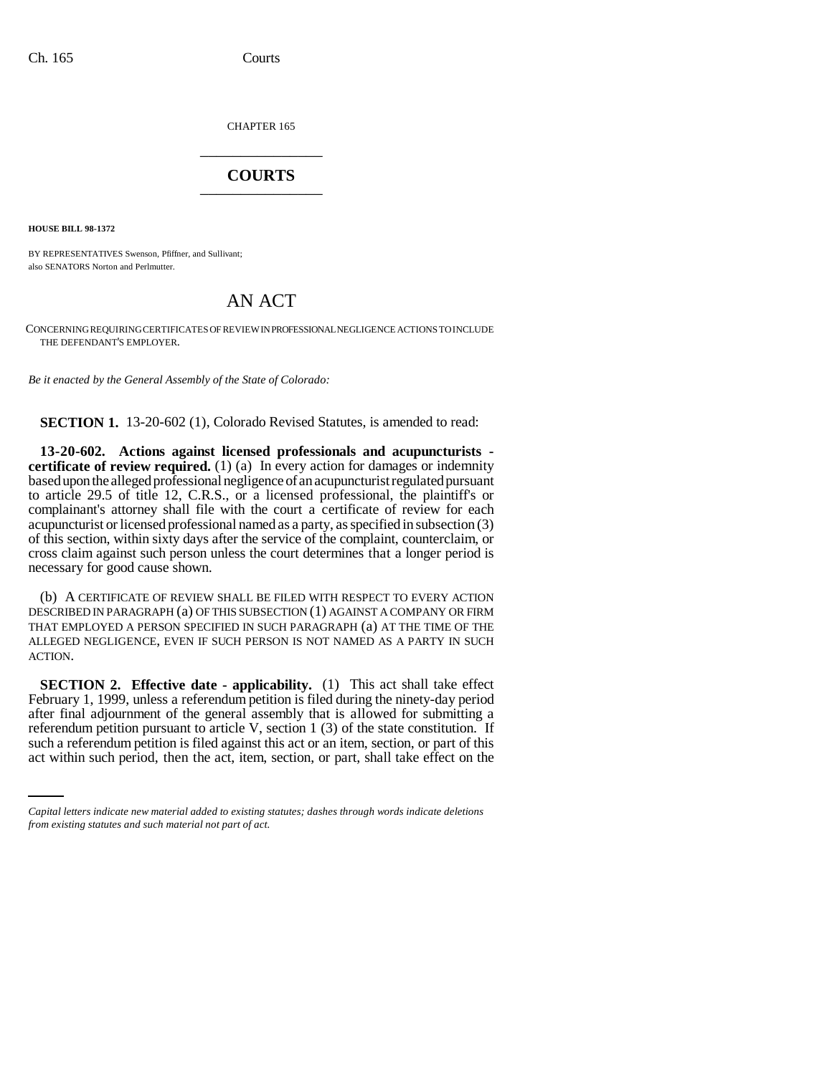CHAPTER 165 \_\_\_\_\_\_\_\_\_\_\_\_\_\_\_

## **COURTS** \_\_\_\_\_\_\_\_\_\_\_\_\_\_\_

**HOUSE BILL 98-1372**

BY REPRESENTATIVES Swenson, Pfiffner, and Sullivant; also SENATORS Norton and Perlmutter.

## AN ACT

CONCERNING REQUIRING CERTIFICATES OF REVIEW IN PROFESSIONAL NEGLIGENCE ACTIONS TO INCLUDE THE DEFENDANT'S EMPLOYER.

*Be it enacted by the General Assembly of the State of Colorado:*

**SECTION 1.** 13-20-602 (1), Colorado Revised Statutes, is amended to read:

**13-20-602. Actions against licensed professionals and acupuncturists certificate of review required.** (1) (a) In every action for damages or indemnity based upon the alleged professional negligence of an acupuncturist regulated pursuant to article 29.5 of title 12, C.R.S., or a licensed professional, the plaintiff's or complainant's attorney shall file with the court a certificate of review for each acupuncturist or licensed professional named as a party, as specified in subsection (3) of this section, within sixty days after the service of the complaint, counterclaim, or cross claim against such person unless the court determines that a longer period is necessary for good cause shown.

(b) A CERTIFICATE OF REVIEW SHALL BE FILED WITH RESPECT TO EVERY ACTION DESCRIBED IN PARAGRAPH (a) OF THIS SUBSECTION (1) AGAINST A COMPANY OR FIRM THAT EMPLOYED A PERSON SPECIFIED IN SUCH PARAGRAPH (a) AT THE TIME OF THE ALLEGED NEGLIGENCE, EVEN IF SUCH PERSON IS NOT NAMED AS A PARTY IN SUCH ACTION.

referendum petition pursuant to article V, section 1 (3) of the state constitution. If **SECTION 2. Effective date - applicability.** (1) This act shall take effect February 1, 1999, unless a referendum petition is filed during the ninety-day period after final adjournment of the general assembly that is allowed for submitting a such a referendum petition is filed against this act or an item, section, or part of this act within such period, then the act, item, section, or part, shall take effect on the

*Capital letters indicate new material added to existing statutes; dashes through words indicate deletions from existing statutes and such material not part of act.*